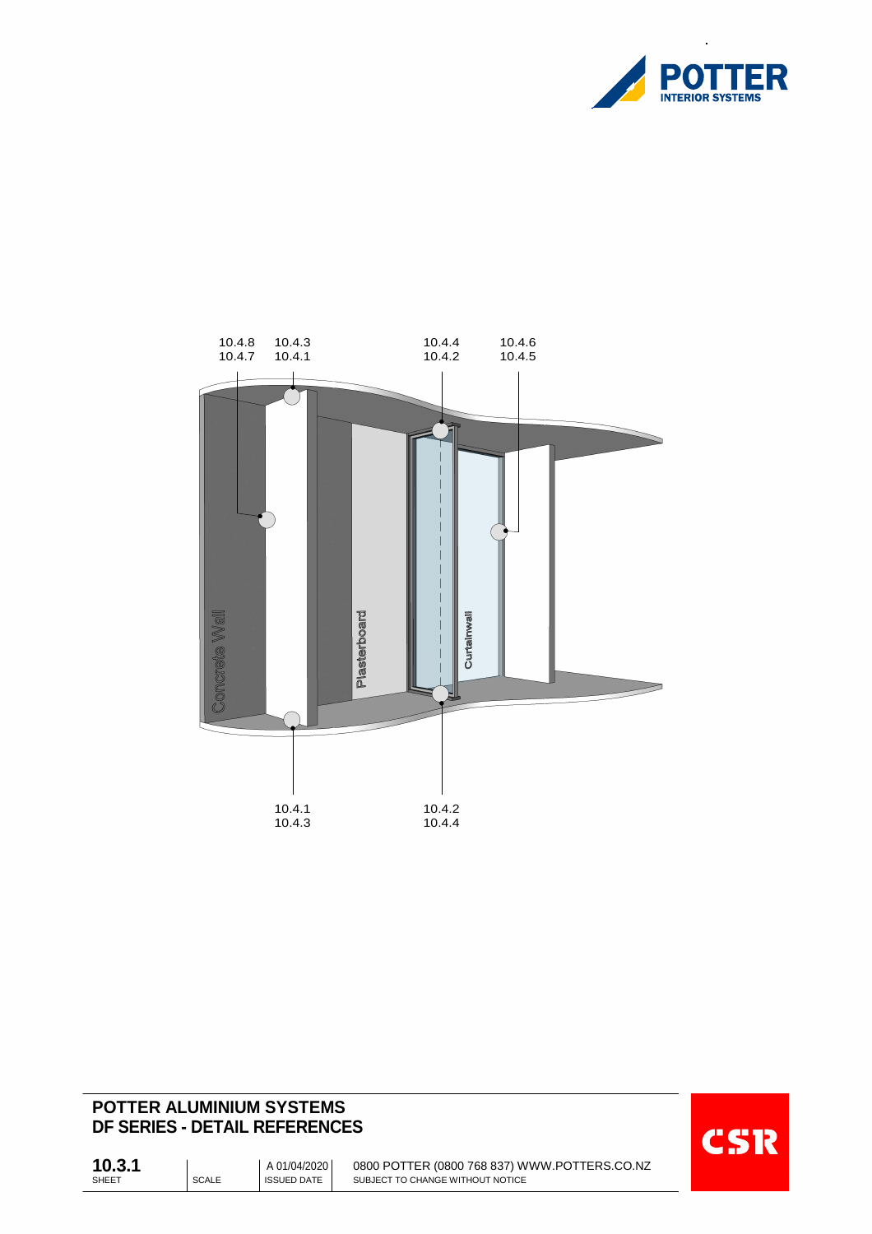

 $\bar{\mathbf{z}}$ 



# **POTTER ALUMINIUM SYSTEMS DF SERIES - DETAIL REFERENCES**



SHEET SHEET SCALE SHEET 0800 POTTER (0800 768 837) WWW.POTTERS.CO.NZ SUBJECT TO CHANGE WITHOUT NOTICE **10.3.1** <sup>A</sup> 01/04/2020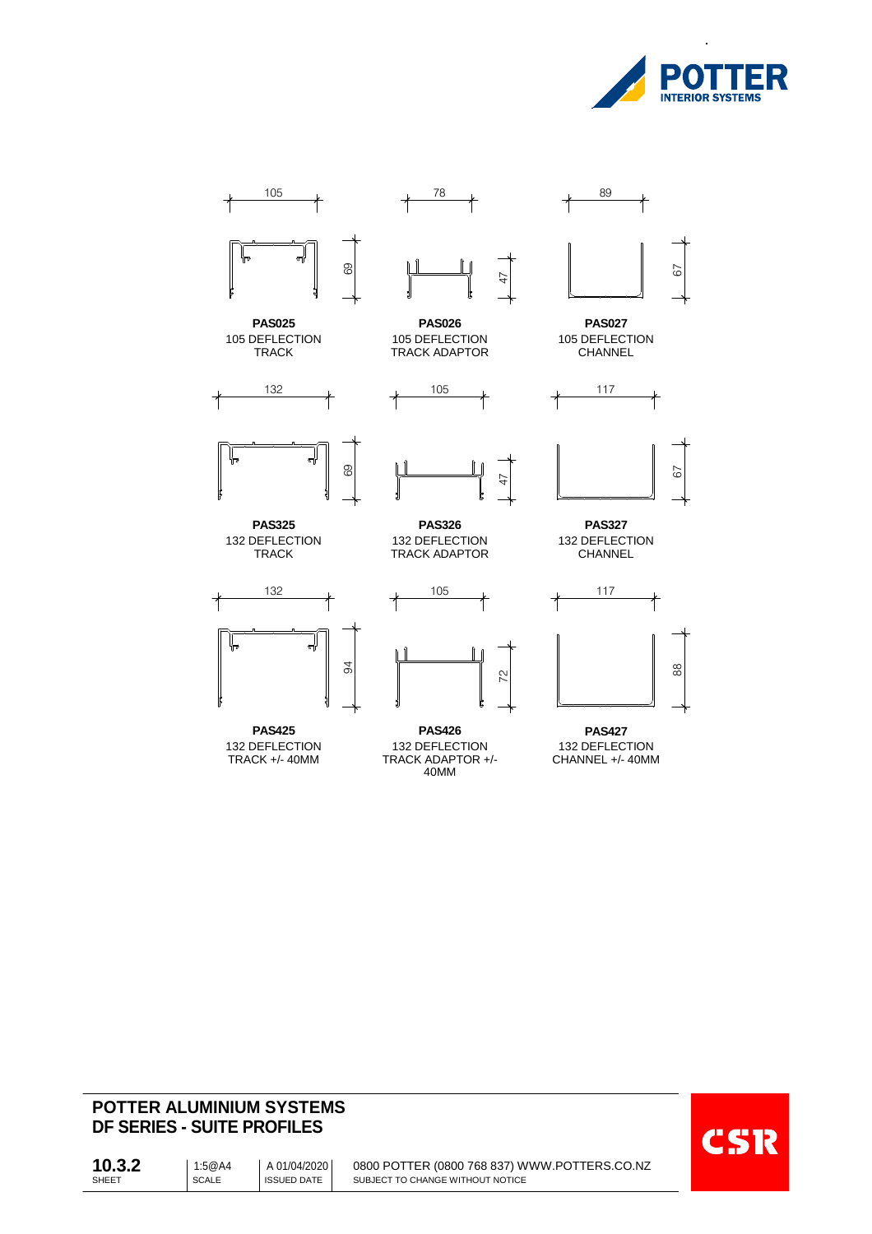

 $\overline{\phantom{a}}$ 



# **POTTER ALUMINIUM SYSTEMS DF SERIES - SUITE PROFILES**



SHEET SCALE SCALE SHEET 0800 POTTER (0800 768 837) WWW.POTTERS.CO.NZ SUBJECT TO CHANGE WITHOUT NOTICE **10.3.2** | 1:5@A4 01/04/2020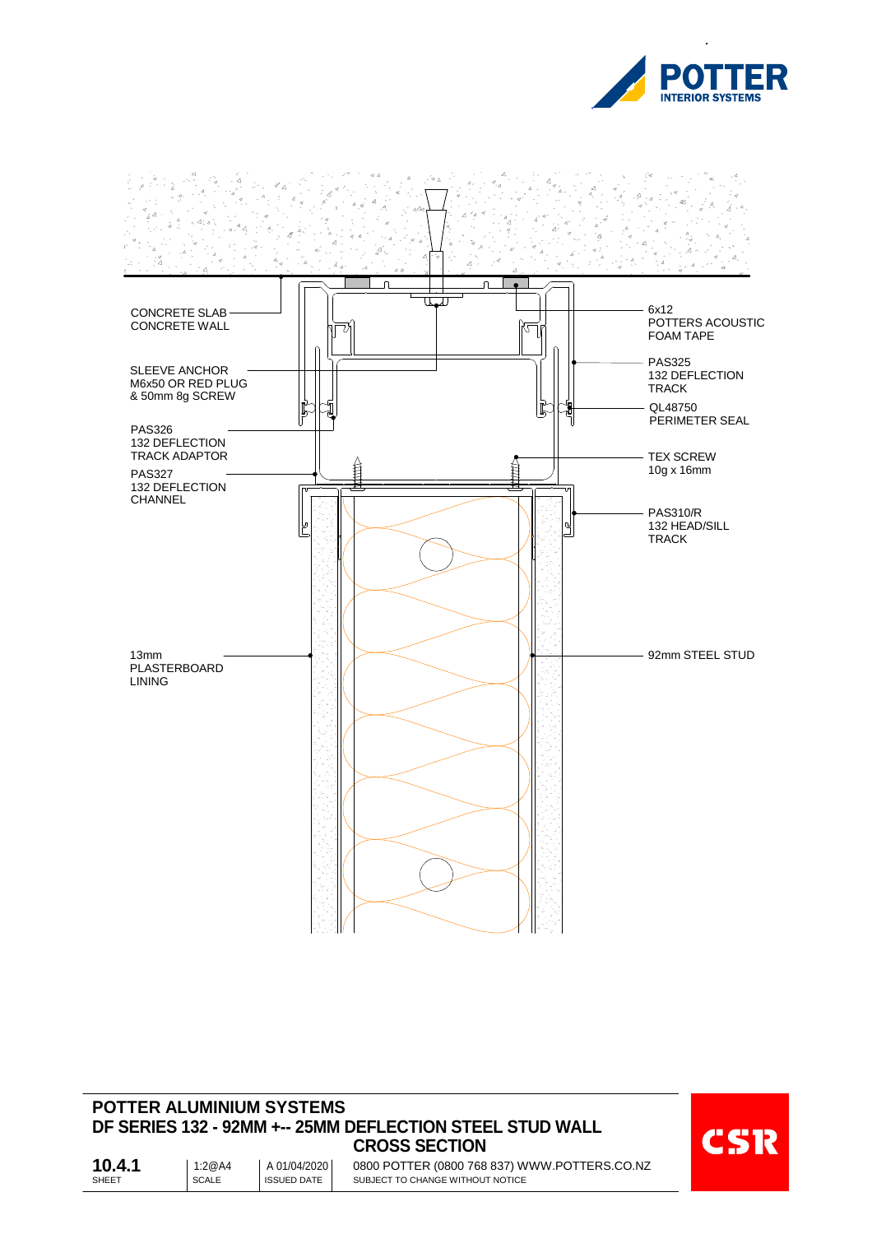



## **POTTER ALUMINIUM SYSTEMS DF SERIES 132 - 92MM +-- 25MM DEFLECTION STEEL STUD WALL CROSS SECTION**



SHEET SCALE SCALE SHEET 0800 POTTER (0800 768 837) WWW.POTTERS.CO.NZ SUBJECT TO CHANGE WITHOUT NOTICE **10.4.1** | 1:2@A4 01/04/2020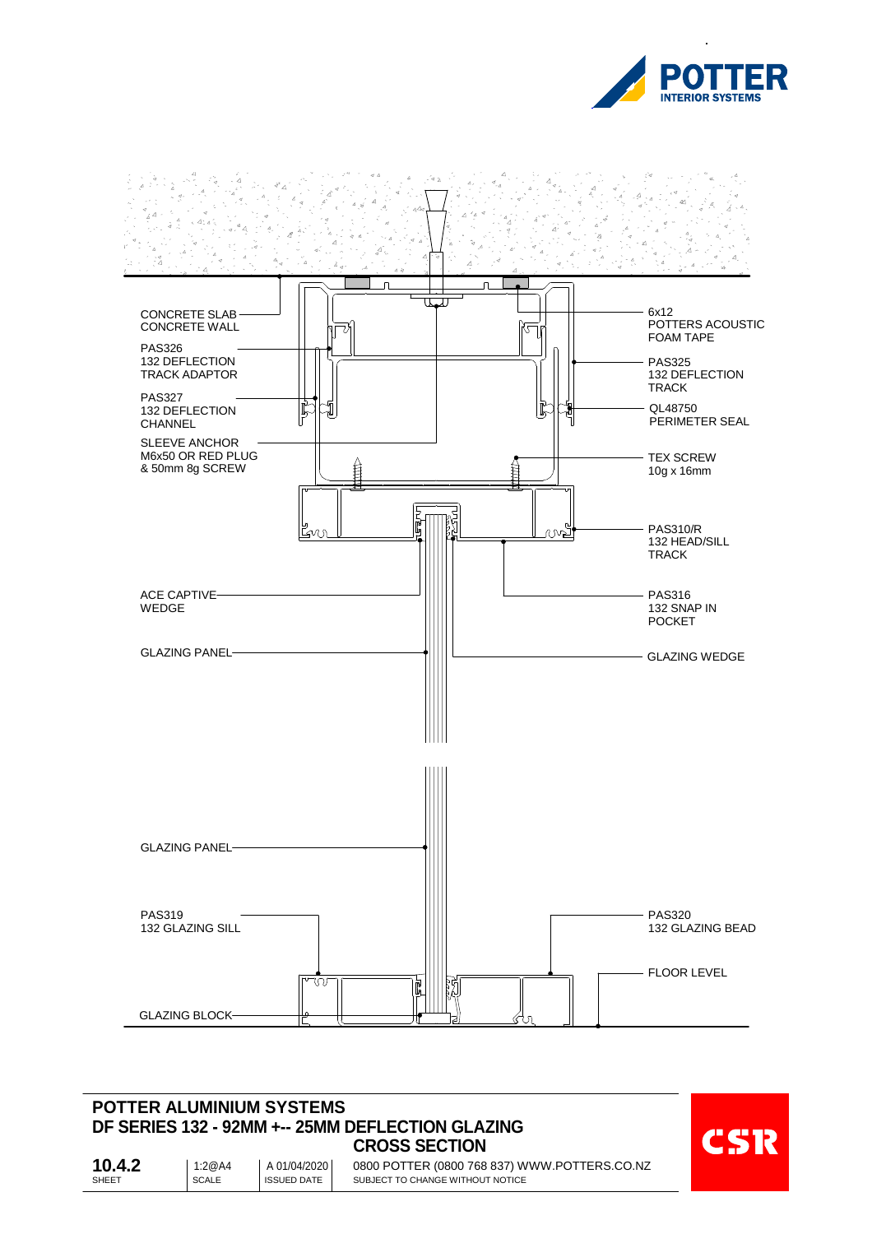



#### **POTTER ALUMINIUM SYSTEMS DF SERIES 132 - 92MM +-- 25MM DEFLECTION GLAZING CROSS SECTION**



SHEET SCALE SCALE SHEET 0800 POTTER (0800 768 837) WWW.POTTERS.CO.NZ SUBJECT TO CHANGE WITHOUT NOTICE **10.4.2** 1:2@A4 01/04/2020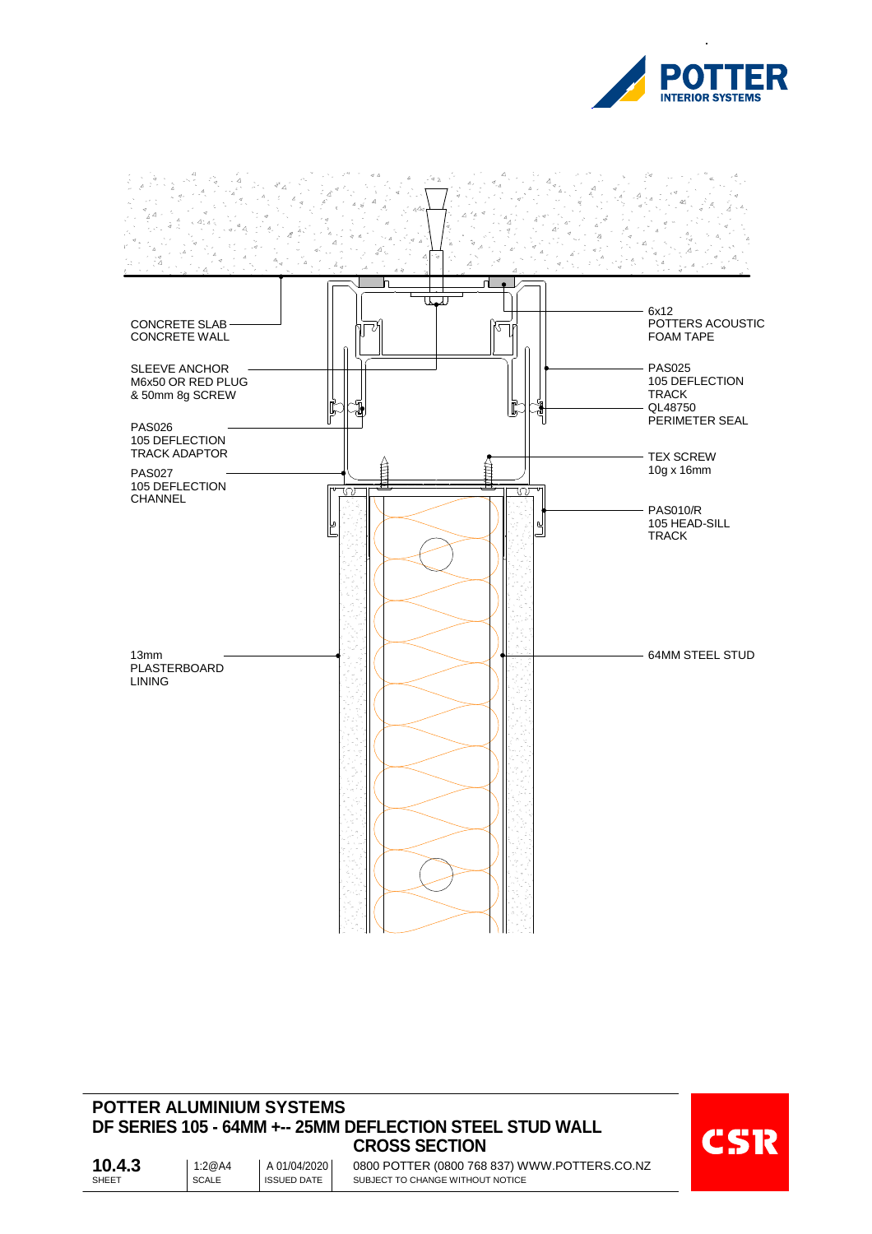



#### **POTTER ALUMINIUM SYSTEMS DF SERIES 105 - 64MM +-- 25MM DEFLECTION STEEL STUD WALL CROSS SECTION**



SHEET SCALE SCALE SHEET 0800 POTTER (0800 768 837) WWW.POTTERS.CO.NZ SUBJECT TO CHANGE WITHOUT NOTICE **10.4.3** 1:2@A4 01/04/2020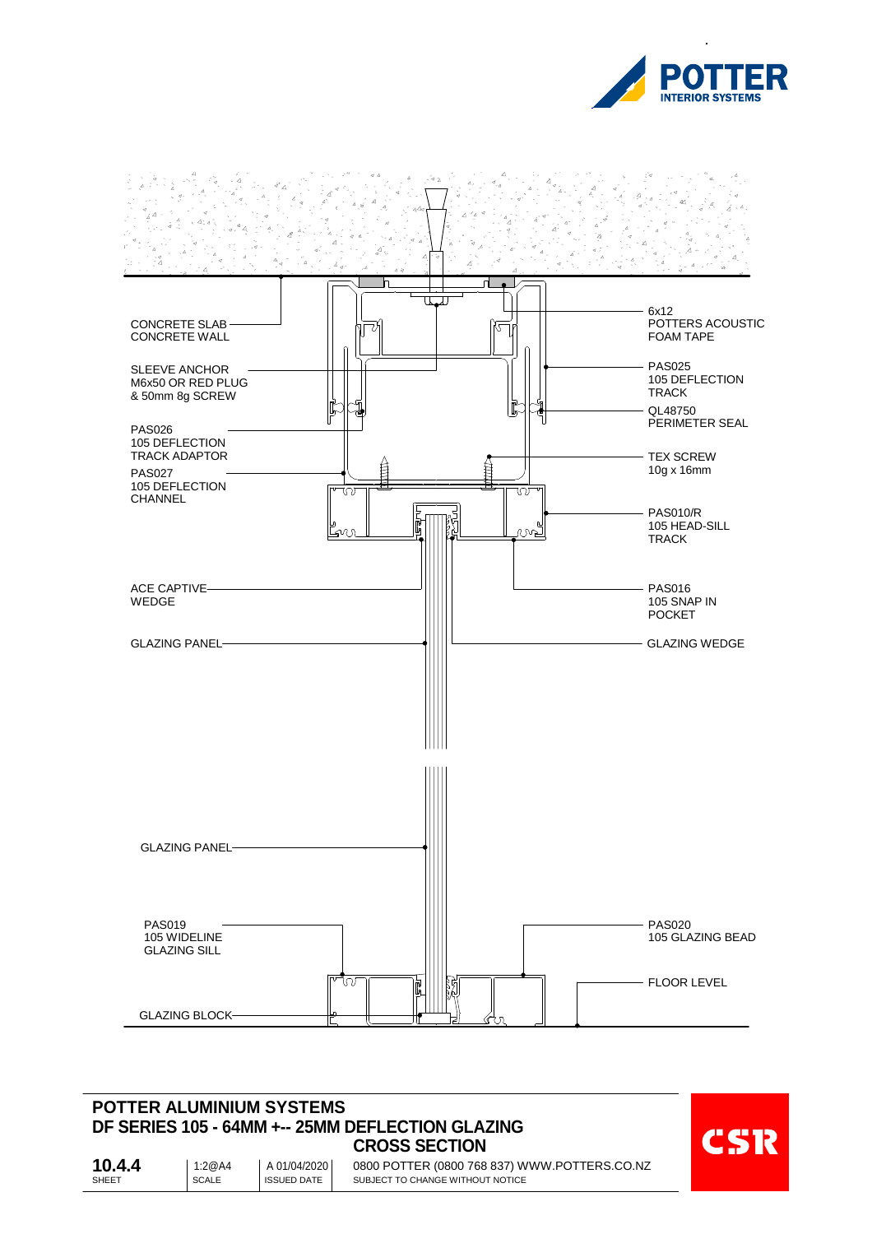



#### **POTTER ALUMINIUM SYSTEMS DF SERIES 105 - 64MM +-- 25MM DEFLECTION GLAZING CROSS SECTION**



SHEET SCALE SCALE SHEET 0800 POTTER (0800 768 837) WWW.POTTERS.CO.NZ SUBJECT TO CHANGE WITHOUT NOTICE **10.4.4** 1:2@A4 01/04/2020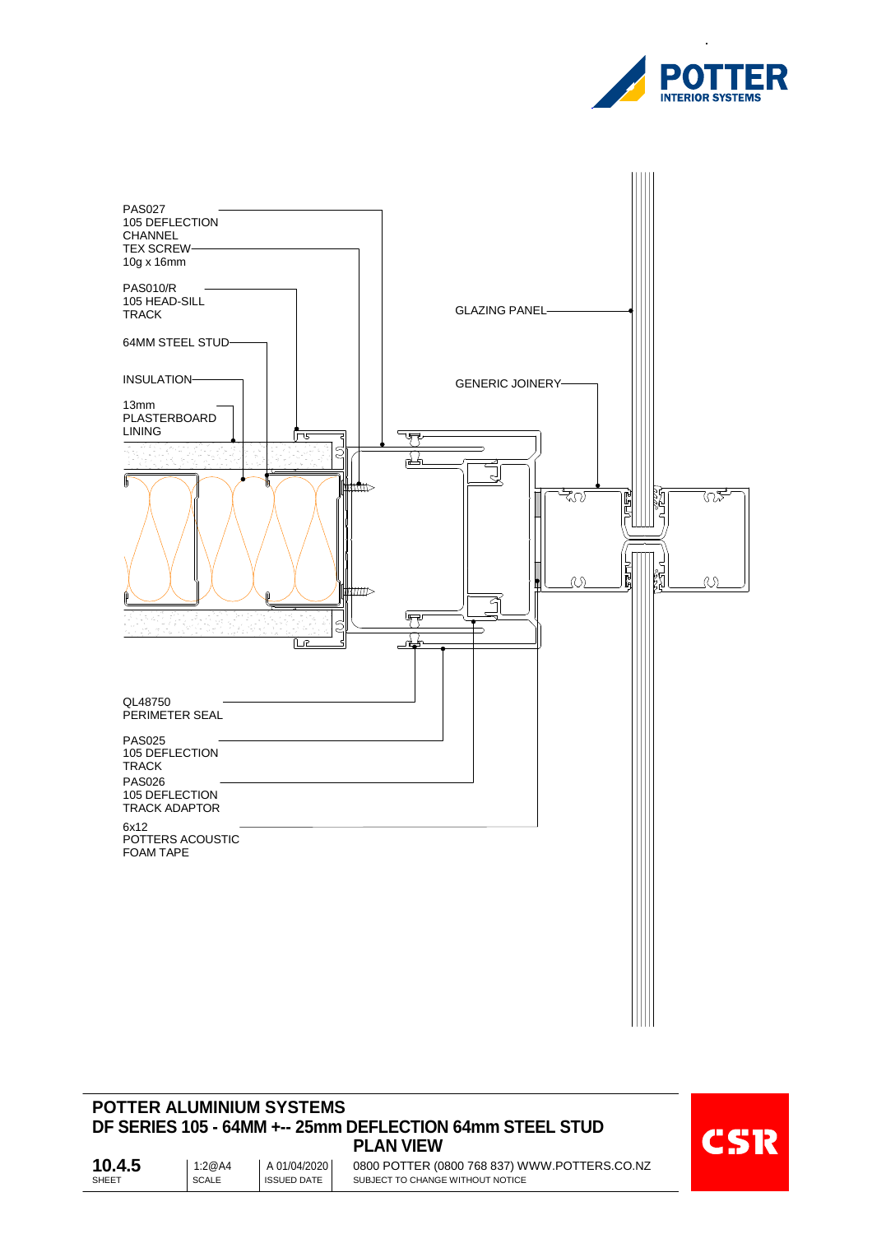



# **POTTER ALUMINIUM SYSTEMS DF SERIES 105 - 64MM +-- 25mm DEFLECTION 64mm STEEL STUD PLAN VIEW**



SHEET SCALE SCALE SHEET 0800 POTTER (0800 768 837) WWW.POTTERS.CO.NZ SUBJECT TO CHANGE WITHOUT NOTICE **10.4.5** 1:2@A4 01/04/2020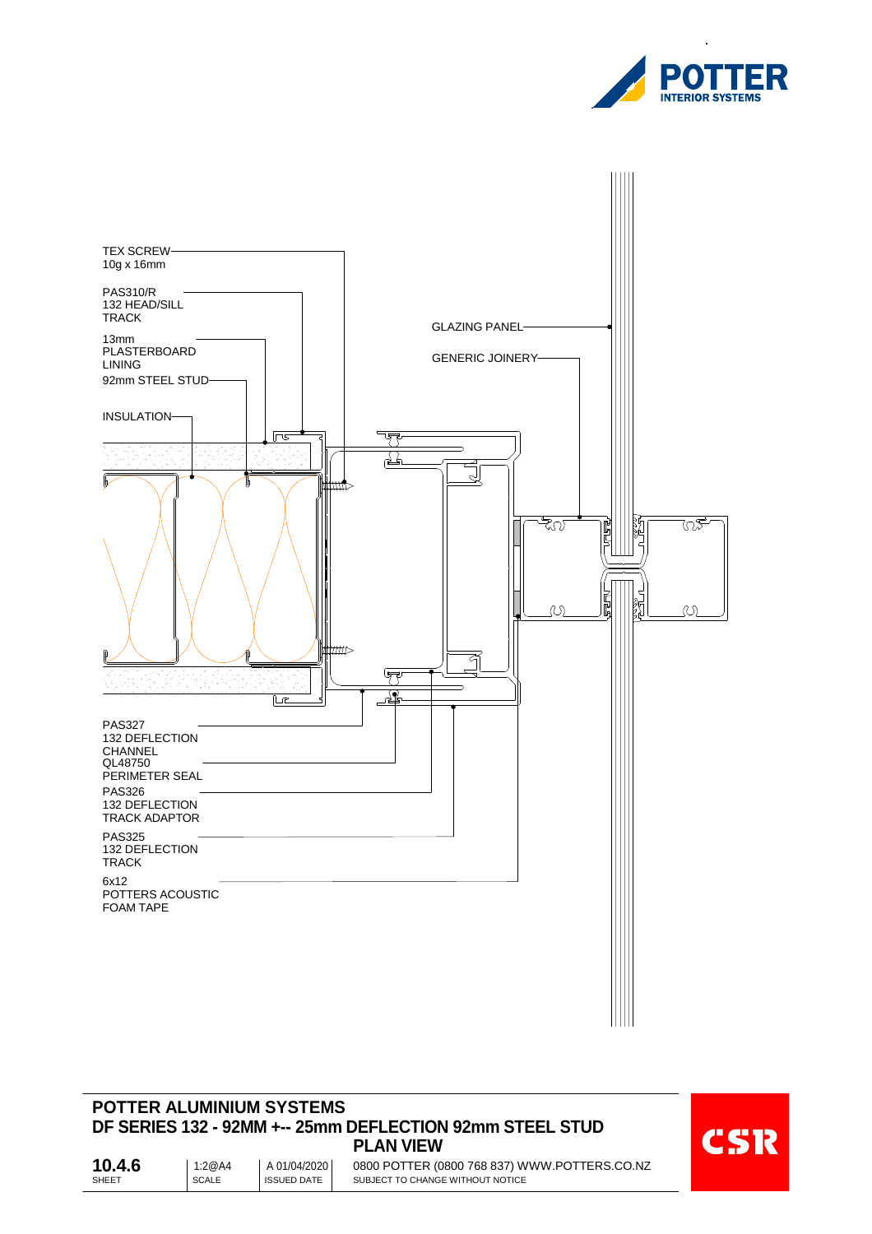



#### **POTTER ALUMINIUM SYSTEMS DF SERIES 132 - 92MM +-- 25mm DEFLECTION 92mm STEEL STUD PLAN VIEW**



SHEET SCALE SCALE SHEET 0800 POTTER (0800 768 837) WWW.POTTERS.CO.NZ SUBJECT TO CHANGE WITHOUT NOTICE **10.4.6** 1:2@A4 01/04/2020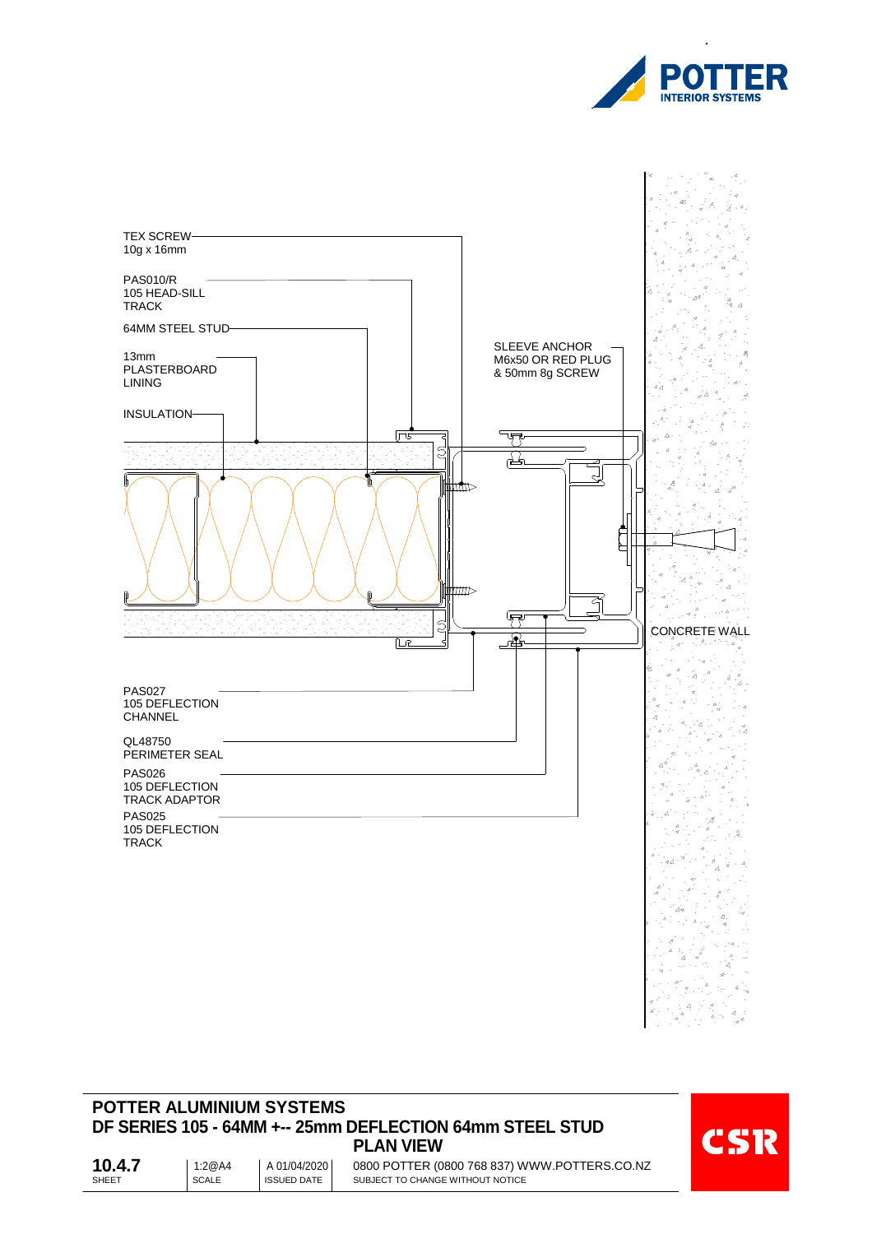



#### **POTTER ALUMINIUM SYSTEMS DF SERIES 105 - 64MM +-- 25mm DEFLECTION 64mm STEEL STUD PLAN VIEW**



SHEET SCALE SCALE SHEET 0800 POTTER (0800 768 837) WWW.POTTERS.CO.NZ SUBJECT TO CHANGE WITHOUT NOTICE **10.4.7** | 1:2@A4 01/04/2020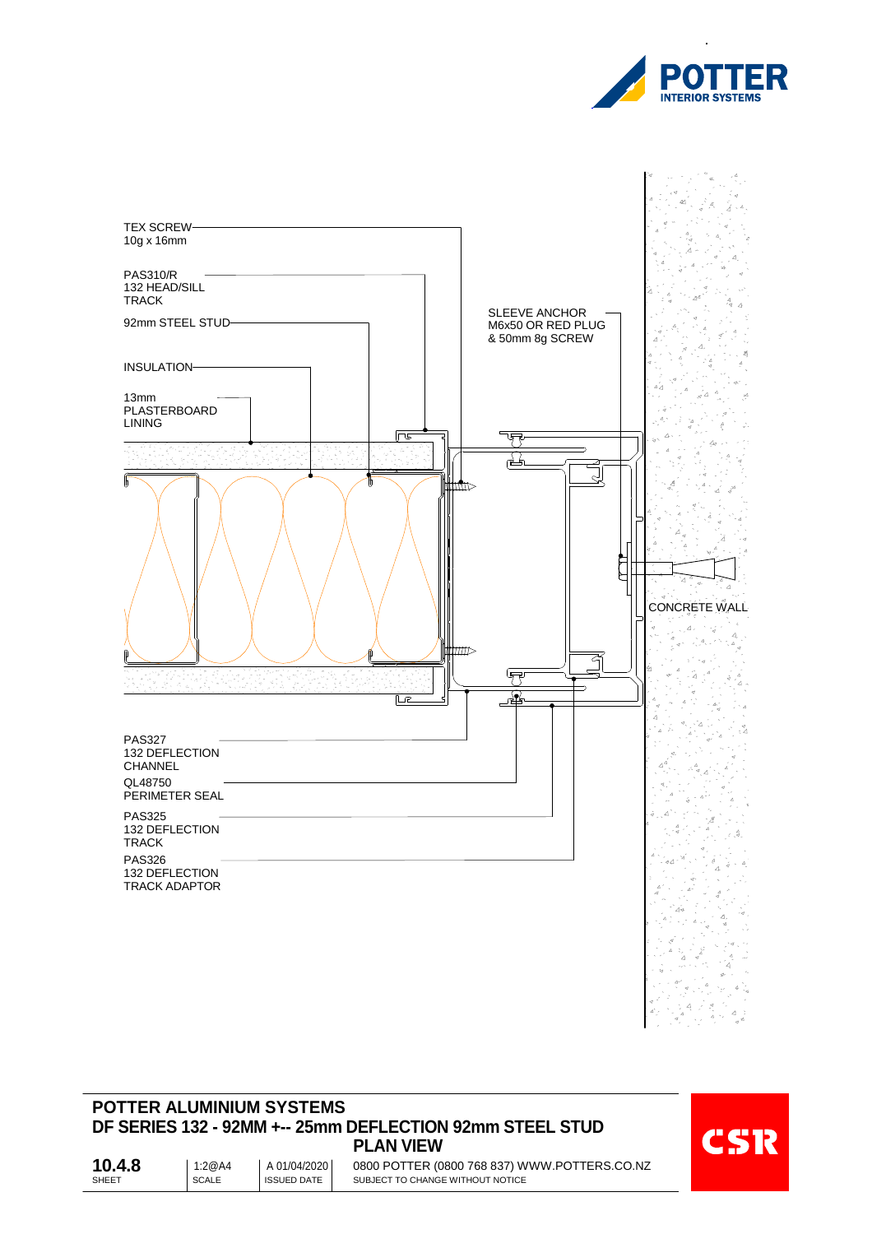



## **POTTER ALUMINIUM SYSTEMS DF SERIES 132 - 92MM +-- 25mm DEFLECTION 92mm STEEL STUD PLAN VIEW**



SHEET SCALE SCALE SHEET 0800 POTTER (0800 768 837) WWW.POTTERS.CO.NZ SUBJECT TO CHANGE WITHOUT NOTICE **10.4.8** 1:2@A4 01/04/2020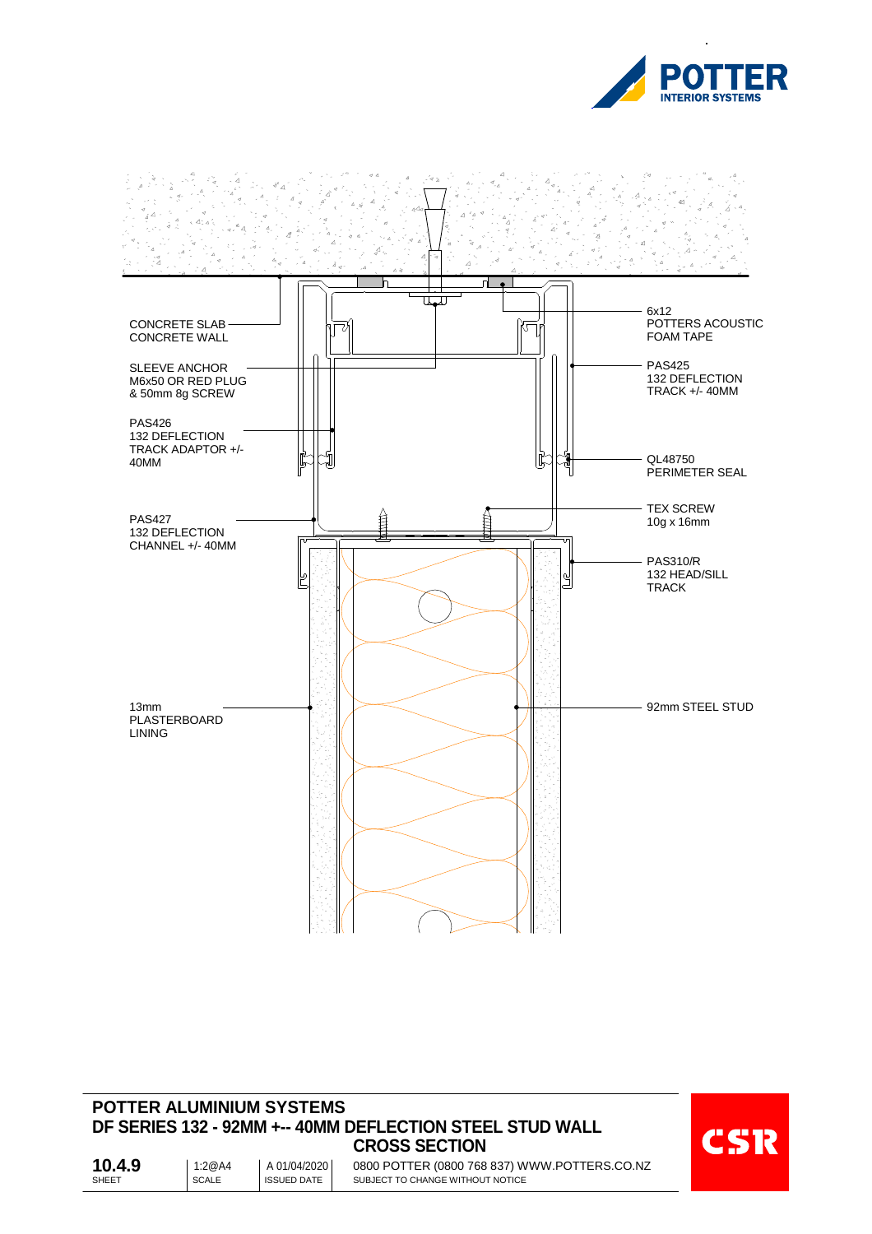



#### **POTTER ALUMINIUM SYSTEMS DF SERIES 132 - 92MM +-- 40MM DEFLECTION STEEL STUD WALL CROSS SECTION**



SHEET SCALE SCALE SHEET 0800 POTTER (0800 768 837) WWW.POTTERS.CO.NZ SUBJECT TO CHANGE WITHOUT NOTICE **10.4.9** 1:2@A4 01/04/2020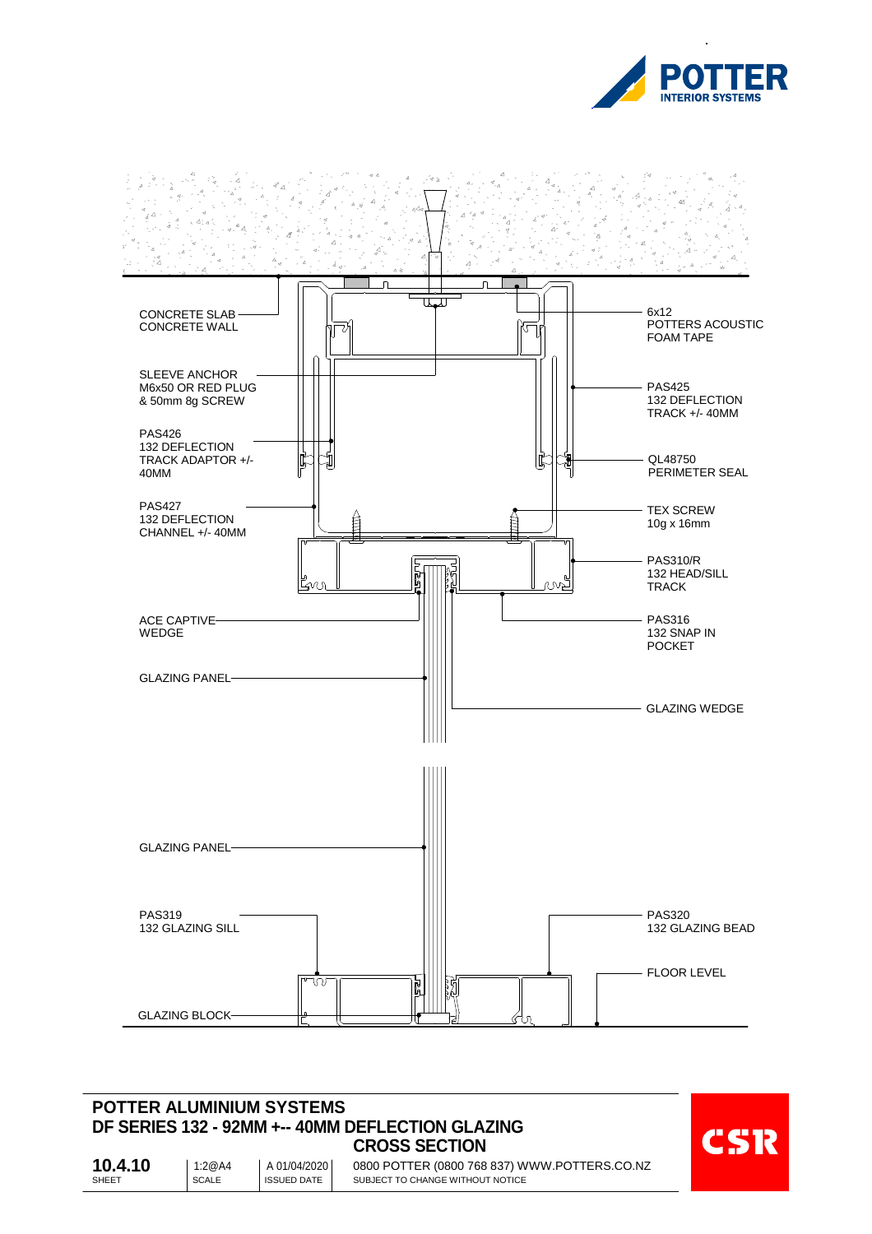



#### **POTTER ALUMINIUM SYSTEMS DF SERIES 132 - 92MM +-- 40MM DEFLECTION GLAZING CROSS SECTION**



SHEET SCALE SCALE SHEET 0800 POTTER (0800 768 837) WWW.POTTERS.CO.NZ SUBJECT TO CHANGE WITHOUT NOTICE **10.4.10** | 1:2@A4 01/04/2020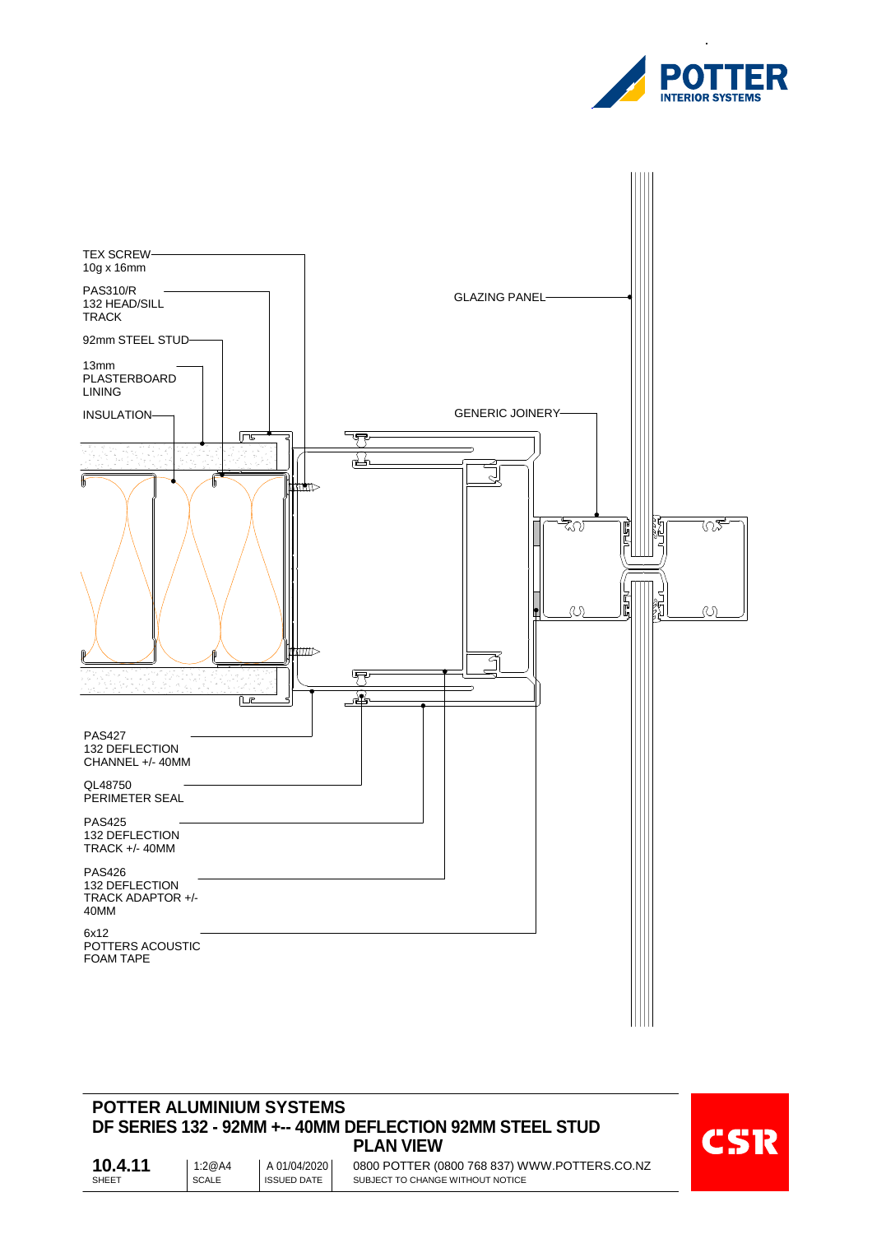



#### **POTTER ALUMINIUM SYSTEMS DF SERIES 132 - 92MM +-- 40MM DEFLECTION 92MM STEEL STUD PLAN VIEW**



SHEET SCALE SCALE SHEET 0800 POTTER (0800 768 837) WWW.POTTERS.CO.NZ SUBJECT TO CHANGE WITHOUT NOTICE **10.4.11** | 1:2@A4 01/04/2020